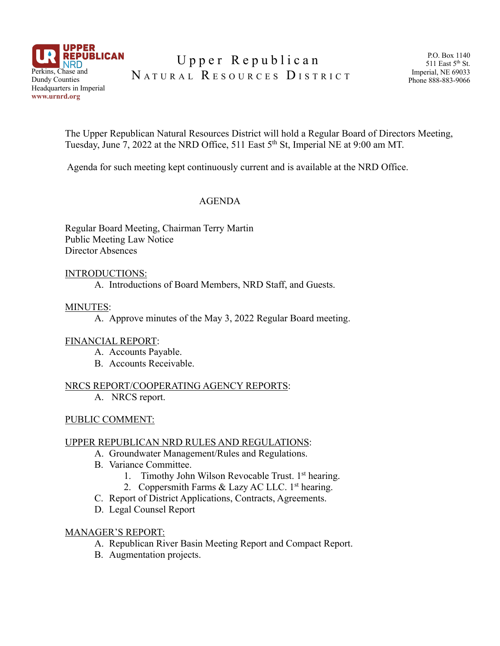

# Upper Republican NATURAL RESOURCES DISTRICT

The Upper Republican Natural Resources District will hold a Regular Board of Directors Meeting, Tuesday, June 7, 2022 at the NRD Office, 511 East 5th St, Imperial NE at 9:00 am MT.

Agenda for such meeting kept continuously current and is available at the NRD Office.

## AGENDA

Regular Board Meeting, Chairman Terry Martin Public Meeting Law Notice Director Absences

### INTRODUCTIONS:

A. Introductions of Board Members, NRD Staff, and Guests.

### MINUTES:

A. Approve minutes of the May 3, 2022 Regular Board meeting.

## FINANCIAL REPORT:

- A. Accounts Payable.
- B. Accounts Receivable.

### NRCS REPORT/COOPERATING AGENCY REPORTS: A. NRCS report.

# PUBLIC COMMENT:

# UPPER REPUBLICAN NRD RULES AND REGULATIONS:

- A. Groundwater Management/Rules and Regulations.
- B. Variance Committee.
	- 1. Timothy John Wilson Revocable Trust. 1<sup>st</sup> hearing.
	- 2. Coppersmith Farms & Lazy AC LLC. 1<sup>st</sup> hearing.
- C. Report of District Applications, Contracts, Agreements.
- D. Legal Counsel Report

## MANAGER'S REPORT:

- A. Republican River Basin Meeting Report and Compact Report.
- B. Augmentation projects.